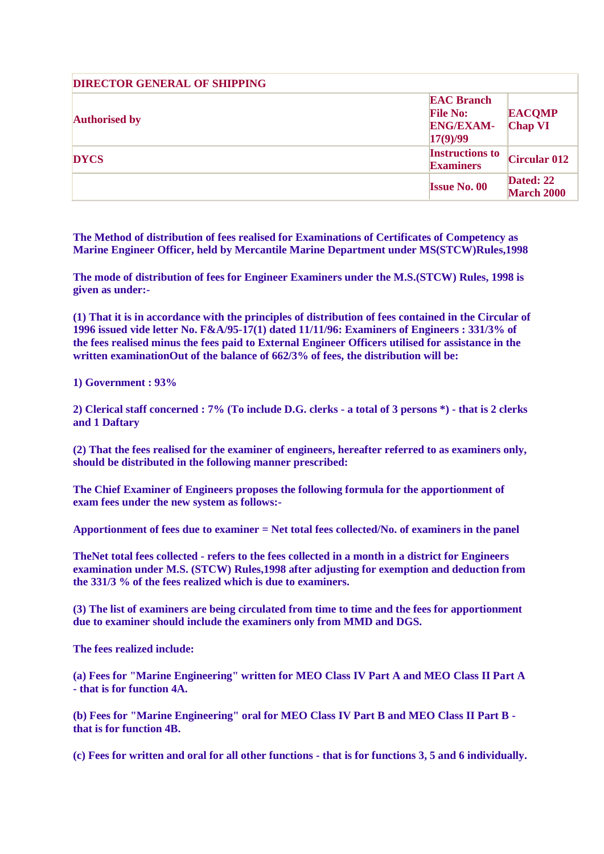| <b>DIRECTOR GENERAL OF SHIPPING</b> |                                                                      |                                 |  |
|-------------------------------------|----------------------------------------------------------------------|---------------------------------|--|
| <b>Authorised by</b>                | <b>EAC Branch</b><br><b>File No:</b><br><b>ENG/EXAM-</b><br>17(9)/99 | <b>EACOMP</b><br><b>Chap VI</b> |  |
| <b>DYCS</b>                         | <b>Instructions to</b><br><b>Examiners</b>                           | <b>Circular 012</b>             |  |
|                                     | <b>Issue No. 00</b>                                                  | Dated: 22<br><b>March 2000</b>  |  |

**The Method of distribution of fees realised for Examinations of Certificates of Competency as Marine Engineer Officer, held by Mercantile Marine Department under MS(STCW)Rules,1998**

**The mode of distribution of fees for Engineer Examiners under the M.S.(STCW) Rules, 1998 is given as under:-**

**(1) That it is in accordance with the principles of distribution of fees contained in the Circular of 1996 issued vide letter No. F&A/95-17(1) dated 11/11/96: Examiners of Engineers : 331/3% of the fees realised minus the fees paid to External Engineer Officers utilised for assistance in the written examinationOut of the balance of 662/3% of fees, the distribution will be:**

**1) Government : 93%**

**2) Clerical staff concerned : 7% (To include D.G. clerks - a total of 3 persons \*) - that is 2 clerks and 1 Daftary**

**(2) That the fees realised for the examiner of engineers, hereafter referred to as examiners only, should be distributed in the following manner prescribed:**

**The Chief Examiner of Engineers proposes the following formula for the apportionment of exam fees under the new system as follows:-**

**Apportionment of fees due to examiner = Net total fees collected/No. of examiners in the panel**

**TheNet total fees collected - refers to the fees collected in a month in a district for Engineers examination under M.S. (STCW) Rules,1998 after adjusting for exemption and deduction from the 331/3 % of the fees realized which is due to examiners.**

**(3) The list of examiners are being circulated from time to time and the fees for apportionment due to examiner should include the examiners only from MMD and DGS.**

**The fees realized include:**

**(a) Fees for "Marine Engineering" written for MEO Class IV Part A and MEO Class II Part A - that is for function 4A.**

**(b) Fees for "Marine Engineering" oral for MEO Class IV Part B and MEO Class II Part B that is for function 4B.**

**(c) Fees for written and oral for all other functions - that is for functions 3, 5 and 6 individually.**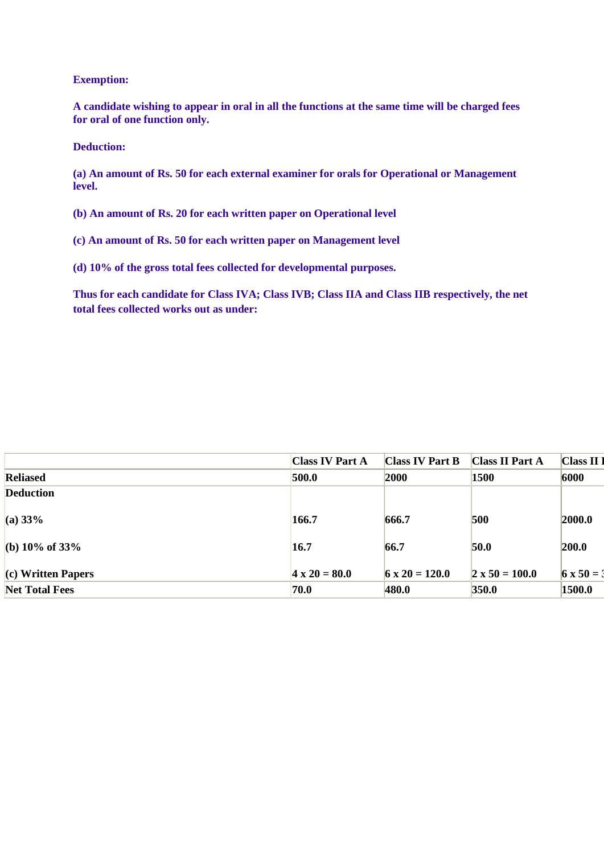## **Exemption:**

**A candidate wishing to appear in oral in all the functions at the same time will be charged fees for oral of one function only.**

## **Deduction:**

**(a) An amount of Rs. 50 for each external examiner for orals for Operational or Management level.**

**(b) An amount of Rs. 20 for each written paper on Operational level**

**(c) An amount of Rs. 50 for each written paper on Management level**

**(d) 10% of the gross total fees collected for developmental purposes.**

**Thus for each candidate for Class IVA; Class IVB; Class IIA and Class IIB respectively, the net total fees collected works out as under:**

|                       | <b>Class IV Part A</b> | Class IV Part B       | <b>Class II Part A</b> | Class II          |
|-----------------------|------------------------|-----------------------|------------------------|-------------------|
| <b>Reliased</b>       | 500.0                  | 2000                  | 1500                   | 6000              |
| Deduction             |                        |                       |                        |                   |
| (a) 33%               | 166.7                  | 666.7                 | 500                    | 2000.0            |
| (b) $10\%$ of $33\%$  | 16.7                   | 66.7                  | 50.0                   | 200.0             |
| (c) Written Papers    | $4 \times 20 = 80.0$   | $6 \times 20 = 120.0$ | $2 \times 50 = 100.0$  | $6 \times 50 = 3$ |
| <b>Net Total Fees</b> | 70.0                   | 480.0                 | 350.0                  | 1500.0            |
|                       |                        |                       |                        |                   |